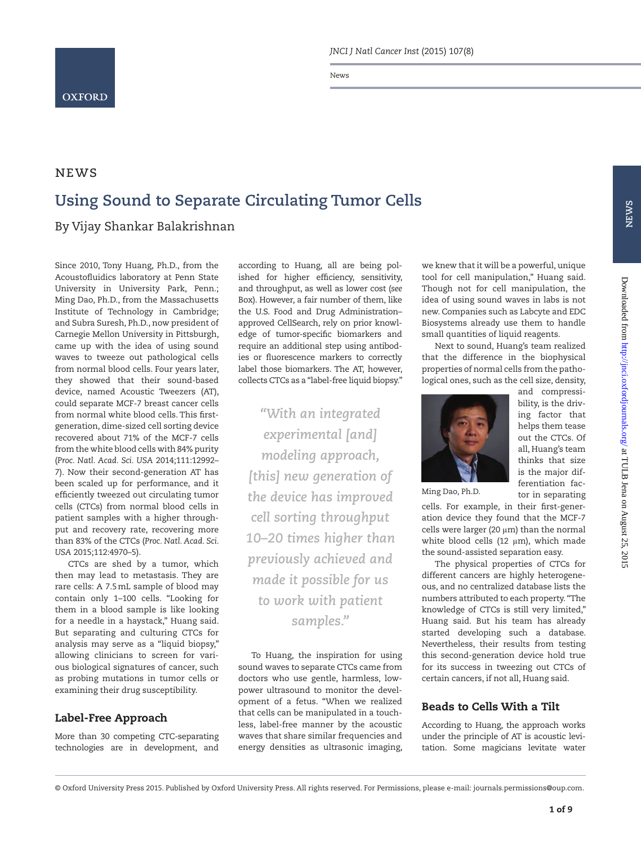

News

## **NEWS Using Sound to Separate Circulating Tumor Cells** By Vijay Shankar Balakrishnan

Since 2010, Tony Huang, Ph.D., from the Acoustofluidics laboratory at Penn State University in University Park, Penn.; Ming Dao, Ph.D., from the Massachusetts Institute of Technology in Cambridge; and Subra Suresh, Ph.D., now president of Carnegie Mellon University in Pittsburgh, came up with the idea of using sound waves to tweeze out pathological cells from normal blood cells. Four years later, they showed that their sound-based device, named Acoustic Tweezers (AT), could separate MCF-7 breast cancer cells from normal white blood cells. This firstgeneration, dime-sized cell sorting device recovered about 71% of the MCF-7 cells from the white blood cells with 84% purity (*Proc. Natl. Acad. Sci. USA* 2014;111:12992– 7). Now their second-generation AT has been scaled up for performance, and it efficiently tweezed out circulating tumor cells (CTCs) from normal blood cells in patient samples with a higher throughput and recovery rate, recovering more than 83% of the CTCs (*Proc. Natl. Acad. Sci. USA* 2015;112:4970–5).

CTCs are shed by a tumor, which then may lead to metastasis. They are rare cells: A 7.5mL sample of blood may contain only 1–100 cells. "Looking for them in a blood sample is like looking for a needle in a haystack," Huang said. But separating and culturing CTCs for analysis may serve as a "liquid biopsy," allowing clinicians to screen for various biological signatures of cancer, such as probing mutations in tumor cells or examining their drug susceptibility.

## Label-Free Approach

More than 30 competing CTC-separating technologies are in development, and

according to Huang, all are being polished for higher efficiency, sensitivity, and throughput, as well as lower cost (*see* Box). However, a fair number of them, like the U.S. Food and Drug Administration– approved CellSearch, rely on prior knowledge of tumor-specific biomarkers and require an additional step using antibodies or fluorescence markers to correctly label those biomarkers. The AT, however, collects CTCs as a "label-free liquid biopsy."

*"With an integrated experimental [and] modeling approach, [this] new generation of the device has improved cell sorting throughput 10–20 times higher than previously achieved and made it possible for us to work with patient samples."*

To Huang, the inspiration for using sound waves to separate CTCs came from doctors who use gentle, harmless, lowpower ultrasound to monitor the development of a fetus. "When we realized that cells can be manipulated in a touchless, label-free manner by the acoustic waves that share similar frequencies and energy densities as ultrasonic imaging,

we knew that it will be a powerful, unique tool for cell manipulation," Huang said. Though not for cell manipulation, the idea of using sound waves in labs is not new. Companies such as Labcyte and EDC Biosystems already use them to handle small quantities of liquid reagents.

Next to sound, Huang's team realized that the difference in the biophysical properties of normal cells from the pathological ones, such as the cell size, density,

> and compressibility, is the driving factor that helps them tease out the CTCs. Of all, Huang's team thinks that size is the major differentiation factor in separating



Ming Dao, Ph.D.

cells. For example, in their first-generation device they found that the MCF-7 cells were larger (20 μm) than the normal white blood cells (12  $\mu$ m), which made the sound-assisted separation easy.

The physical properties of CTCs for different cancers are highly heterogeneous, and no centralized database lists the numbers attributed to each property. "The knowledge of CTCs is still very limited," Huang said. But his team has already started developing such a database. Nevertheless, their results from testing this second-generation device hold true for its success in tweezing out CTCs of certain cancers, if not all, Huang said.

## Beads to Cells With a Tilt

According to Huang, the approach works under the principle of AT is acoustic levitation. Some magicians levitate water